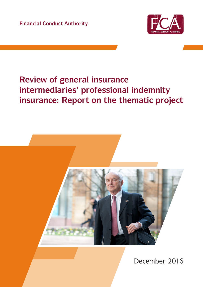**Financial Conduct Authority**



# **Review of general insurance intermediaries' professional indemnity insurance: Report on the thematic project**



December 2016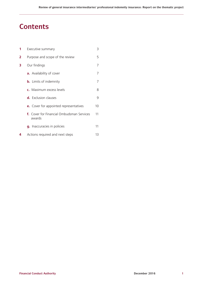# **Contents**

| 1              | Executive summary                                          | 3  |
|----------------|------------------------------------------------------------|----|
| $\overline{2}$ | Purpose and scope of the review                            | 5  |
| 3              | Our findings                                               | 7  |
|                | a. Availability of cover                                   | 7  |
|                | <b>b.</b> Limits of indemnity                              | 7  |
|                | c. Maximum excess levels                                   | 8  |
|                | d. Exclusion clauses                                       | 9  |
|                | <b>e.</b> Cover for appointed representatives              | 10 |
|                | <b>f.</b> Cover for Financial Ombudsman Services<br>awards | 11 |
|                | g. Inaccuracies in policies                                | 11 |
| 4              | Actions required and next steps                            | 13 |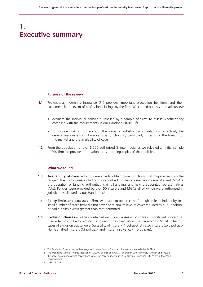# **1. Executive summary**

#### **Purpose of the review**

- **1.1** Professional indemnity insurance (PII) provides important protection for firms and their customers, in the event of professional failings by the firm. We carried out this thematic review  $t^{\circ}$ 
	- **•** evaluate the individual policies purchased by a sample of firms to assess whether they complied with the requirements in our Handbook (MIPRU<sup>1</sup>)
	- **•** to consider, taking into account the views of industry participants, how effectively the general insurance (GI) PII market was functioning, particularly in terms of the breadth of the market and the availability of cover
- **1.2** From the population of over 6,000 authorised GI intermediaries we selected an initial sample of 200 firms to provide information to us including copies of their policies.

### **What we found**

- **1.3 Availability of cover** Firms were able to obtain cover for claims that might arise from the range of their GI business including insurance broking, being a managing general agent (MGA<sup>2</sup>), the operation of binding authorities, claims handling, and having appointed representatives (ARs). Policies were provided by over 50 insurers and MGAs all of which were authorised in jurisdictions allowed by our Handbook.<sup>3</sup>
- **1.4 Policy limits and excesses** Firms were able to obtain cover for high limits of indemnity. In a small number of cases firms did not have the minimum level of cover required by our Handbook or had a policy excess greater than that permitted.
- **1.5 Exclusion clauses** Policies contained exclusion clauses which gave us significant concerns as their effect could be to reduce the scope of the cover below that required by MIPRU. The four types of exclusion clause were: Suitability of insurer (11 policies), Unrated insurers (two policies), Non-admitted insurers (13 policies), and Insurer insolvency (140 policies).

<sup>1</sup> The Prudential Sourcebook for Mortgage and Home Finance Firms, and Insurance Intermediaries (MIPRU).

<sup>2</sup> The Managing General Agents Association (MGAA) defines an MGA as 'an agency whose primary function and focus is the provision of underwriting services and whose primary fiduciary duty is to its Insurer principal'. MGAs are authorised as intermediaries.

<sup>3</sup> MIPRU 3.2.1R.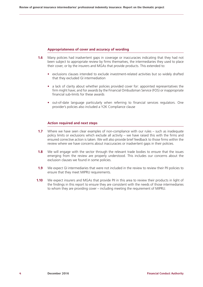### **Appropriateness of cover and accuracy of wording**

- **1.6** Many policies had inadvertent gaps in coverage or inaccuracies indicating that they had not been subject to appropriate review by firms themselves, the intermediaries they used to place their cover, or by the insurers and MGAs that provide products. This extended to:
	- **•** exclusions clauses intended to exclude investment-related activities but so widely drafted that they excluded GI intermediation
	- a lack of clarity about whether policies provided cover for: appointed representatives the firm might have; and for awards by the Financial Ombudsman Service (FOS) or inappropriate financial sub-limits for these awards
	- **•** out-of-date language particularly when referring to financial services regulators. One provider's policies also included a Y2K Compliance clause

### **Action required and next steps**

- **1.7** Where we have seen clear examples of non-compliance with our rules such as inadequate policy limits or exclusions which exclude all activity – we have raised this with the firms and ensured corrective action is taken. We will also provide brief feedback to those firms within the review where we have concerns about inaccuracies or inadvertent gaps in their policies.
- **1.8** We will engage with the sector through the relevant trade bodies to ensure that the issues emerging from the review are properly understood. This includes our concerns about the exclusion clauses we found in some policies.
- **1.9** We expect GI intermediaries that were not included in the review to review their PII policies to ensure that they meet MIPRU requirements.
- **1.10** We expect insurers and MGAs that provide PII in this area to review their products in light of the findings in this report to ensure they are consistent with the needs of those intermediaries to whom they are providing cover – including meeting the requirement of MIPRU.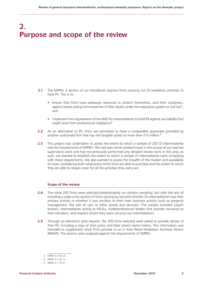# **2. Purpose and scope of the review**

- **2.1** The MIPRU 3 section of our Handbook requires firms carrying out GI mediation activities to have PII. This is to:
	- **•** ensure that firms have adequate resources to protect themselves, and their customers, against losses arising from breaches of their duties under the regulatory system or civil law<sup>4</sup>, and
	- **•** implement the requirement of the IMD for intermediaries to hold PII against any liability that might arise from professional negligence<sup>5</sup>
- **2.2** As an alternative to PII, firms are permitted to have a comparable guarantee provided by another authorised firm that has net tangible assets of more than £10 million.<sup>6</sup>
- **2.3** This project was undertaken to assess the extent to which a sample of 200 GI intermediaries met the requirements of MIPRU. We had seen some isolated issues in the course of our reactive supervisory work and had not previously performed any detailed review work in this area; as such, we wanted to establish the extent to which a sample of intermediaries were complying with these requirements. We also wanted to assess the breadth of the market and availability of cover, considering both what policy limits firms are able to purchase and the extent to which they are able to obtain cover for all the activities they carry out.

# **Scope of the review**

- **2.4** The initial 200 firms were selected predominantly via random sampling, but with the aim of including a wide cross-section of firms varying by size and whether GI intermediation was their primary activity or whether it was ancillary to their main business activity (such as property management, the sale of cars or other goods and services). The sample included Lloyd's brokers, intermediaries acting as MGAs, trade/professional bodies that provide insurance to their members, and insurers where they were carrying out intermediation.
- **2.5** Through an electronic data request, the 200 firms selected were asked to provide details of their PII, including a copy of their policy and their recent claims history. This information was intended to supplement what firms provide to us in their Retail Mediation Activities Return (RMAR). The returns were analysed against the requirements of MIPRU.

<sup>4</sup> MIPRU 3.1.3G (2).

<sup>5</sup> MIPRU 3.1.3G (1).

<sup>6</sup> MIPRU 3.1.1R (3).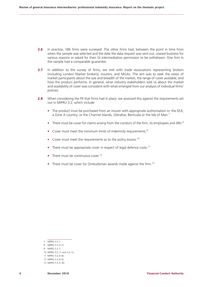- **2.6** In practice, 186 firms were surveyed. The other firms had, between the point in time from when the sample was selected and the date the data request was sent out, ceased business for various reasons or asked for their GI intermediation permission to be withdrawn. One firm in the sample had a comparable guarantee.
- **2.7** In addition to the survey of firms, we met with trade associations representing brokers (including London Market brokers), insurers, and MGAs. The aim was to seek the views of market participants about the size and breadth of the market, the range of cover available, and how the product performs. In general, what industry stakeholders told us about the market and availability of cover was consistent with what emerged from our analysis of individual firms' policies.
- **2.8** When considering the PII that firms had in place, we assessed this against the requirements set out in MIPRU 3.2, which include:
	- The product must be purchased from an insurer with appropriate authorisation in: the EEA: a Zone A country; or the Channel Islands, Gibraltar, Bermuda or the Isle of Man.<sup>7</sup>
	- There must be cover for claims arising from the conduct of the firm, its employees and ARs.<sup>8</sup>
	- Cover must meet the minimum limits of indemnity requirements.<sup>9</sup>
	- Cover must meet the requirements as to the policy excess.<sup>10</sup>
	- There must be appropriate cover in respect of legal defence costs.<sup>11</sup>
	- There must be continuous cover.<sup>12</sup>
	- There must be cover for Ombudsman awards made against the firm.<sup>13</sup>

<sup>7</sup> MIPRU 3.2.1.

<sup>8</sup> MIPRU 3.2.4 (1).

<sup>9</sup> MIPRU 3.2.7.

<sup>10</sup> MIPRU 3.2.11 and 3.2.12.

<sup>11</sup> MIPRU 3.2.4 (4). 12 MIPRU 3.2.4 (5).

<sup>13</sup> MIPRU 3.2.4. (6).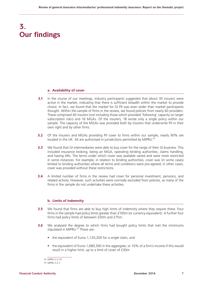# **3. Our findings**

## **a. Availability of cover**

- **3.1** In the course of our meetings, industry participants suggested that about 30 insurers were active in the market, indicating that there is sufficient breadth within the market to provide choice. In fact, we found that the market for GI PII was even wider than market participants thought. Within the sample of firms in the review, we found policies from nearly 60 providers. These comprised 40 insurers (not including those which provided 'following' capacity on larger subscription risks) and 16 MGAs. Of the insurers, 18 wrote only a single policy within our sample. The capacity of the MGAs was provided both by insurers that underwrite PII in their own right and by other firms.
- **3.2** Of the insurers and MGAs providing PII cover to firms within our sample, nearly 90% are located in the UK. All are authorised in jurisdictions permitted by MIPRU.<sup>14</sup>
- **3.3** We found that GI intermediaries were able to buy cover for the range of their GI business. This included insurance broking, being an MGA, operating binding authorities, claims handling, and having ARs. The terms under which cover was available varied and were more restricted in some instances. For example, in relation to binding authorities, cover was (in some cases) limited to binding authorities where all terms and conditions were pre-agreed; in other cases, cover was provided without these restrictions.
- **3.4** A limited number of firms in the review had cover for personal investment, pensions, and related activity. However, such activities were normally excluded from policies, as many of the firms in the sample do not undertake these activities.

# **b. Limits of indemnity**

- **3.5** We found that firms are able to buy high limits of indemnity where they require these. Four firms in the sample had policy limits greater than £100m (or currency equivalent). A further four firms had policy limits of between £50m and £75m.
- **3.6** We analysed the degree to which firms had bought policy limits that met the minimums stipulated in MIPRU.<sup>15</sup> These are:
	- **•** the equivalent of Euros 1,120,200 for a single claim, and
	- **•** the equivalent of Euros 1,680,300 in the aggregate, or 10% of a firm's income if this would result in a higher limit, up to a limit of cover of £30m

<sup>14</sup> MIPRU 3.2.1R.

<sup>15</sup> MIPRU 3.2.7.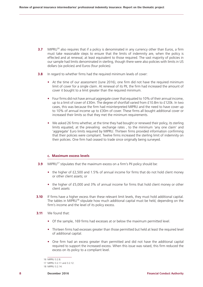- **3.7** MIPRU<sup>16</sup> also requires that if a policy is denominated in any currency other than Euros, a firm must take reasonable steps to ensure that the limits of indemnity are, when the policy is effected and at renewal, at least equivalent to those required. The vast majority of policies in our sample had limits denominated in sterling, though there were also policies with limits in US dollars (six policies) and Euros (four policies).
- **3.8** In regard to whether firms had the required minimum levels of cover:
	- At the time of our assessment (June 2016), one firm did not have the required minimum limit of cover for a single claim. At renewal of its PII, the firm had increased the amount of cover it bought to a limit greater than the required minimum.
	- Four firms did not have annual aggregate cover that equated to 10% of their annual income. up to a limit of cover of £30m. The degree of shortfall varied from £10.8m to £120k. In two cases, this was because the firm had misinterpreted MIPRU and the need to have cover up to 10% of annual income up to £30m of cover. These firms all bought additional cover or increased their limits so that they met the minimum requirements.
	- **•** We asked 26 firms whether, at the time they had bought or renewed their policy, its sterling limits equated, at the prevailing exchange rates , to the minimum 'any one claim' and 'aggregate' Euro limits required by MIPRU. Thirteen firms provided information confirming that their policies were compliant. Twelve firms increased the sterling limit of indemnity on their policies. One firm had ceased to trade since originally being surveyed.

### **c. Maximum excess levels**

- **3.9** MIPRU<sup>17</sup> stipulates that the maximum excess on a firm's PII policy should be:
	- the higher of £2,500 and 1.5% of annual income for firms that do not hold client money or other client assets; or
	- **•** the higher of £5,000 and 3% of annual income for firms that hold client money or other client assets
- **3.10** If firms have a higher excess than these relevant limit levels, they must hold additional capital. The tables in MIPRU<sup>18</sup> stipulate how much additional capital must be held, depending on the firm's income and the level of its policy excess.
- **3.11** We found that:
	- **•** Of the sample, 169 firms had excesses at or below the maximum permitted level.
	- **•** Thirteen firms had excesses greater than those permitted but held at least the required level of additional capital.
	- **•** One firm had an excess greater than permitted and did not have the additional capital required to support the increased excess. When this issue was raised, this firm reduced the excess on its policy to a compliant level.

<sup>16</sup> MIPRU 3.2.8.

<sup>17</sup> MIPRU 3.2.11 and 3.2.12.

<sup>18</sup> MIPRU 3.2.14.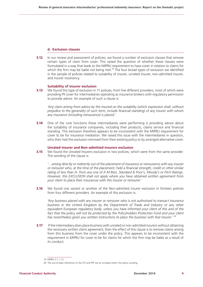# **d. Exclusion clauses**

**3.12** In our review and assessment of policies, we found a number of exclusion clauses that remove certain types of claim from cover. This raised the question of whether these clauses were formulated in a way that leads to the MIPRU requirement to have cover in relation to claims for which the firm may be liable not being met.<sup>19</sup> The four broad types of exclusion we identified in the sample of policies related to suitability of insurer, unrated insurer, non-admitted insurer, and insurer insolvency.

### **Suitability of insurer exclusion**

**3.13** We found this type of exclusion in 11 policies, from five different providers, most of which were providing PII cover for intermediaries operating as insurance brokers with regulatory permission to provide advice. An example of such a clause is:

*'Any claim arising from advice by the insured on the suitability (which expression shall, without prejudice to the generality of such term, include financial standing) of any insurer with whom any insurance (including reinsurance) is placed.'*

**3.14** One of the core functions these intermediaries were performing is providing advice about the suitability of insurance companies, including their products, claims service and financial standing. This exclusion therefore appears to be inconsistent with the MIPRU requirement for cover to be for insurance mediation. We raised this issue with the intermediaries in question, who then had this exclusion removed from their existing policy or by arranged alternative cover.

# **Unrated insurer and Non-admitted insurers exclusion**

**3.15** We found the Unrated Insurers exclusion in two policies, which were from the same provider. The wording of the clause is:

*'…arising directly or indirectly out of the placement of insurance or reinsurance with any insurer or reinsurer who, at the time of the placement, held a financial strength, credit or other similar rating of less than A- from any one of A M Best, Standard & Poor's, Moody's or Fitch Ratings. However, this EXCLUSION shall not apply where you have obtained written agreement from your client to place their insurances with this insurer or reinsurer.'*

**3.16** We found one variant or another of the Non-admitted insurer exclusion in thirteen policies from four different providers. An example of this exclusion is:

*'Any business placed with any insurer or reinsurer who is not authorised to transact insurance business in the United Kingdom by the Department of Trade and Industry or any other equivalent European regulatory body, unless you have informed your client of this and of the*  fact that the policy will not be protected by the Policyholders Protection Fund and your client *has nevertheless given you written instructions to place the business with that insurer.' <sup>20</sup>*

**3.17** If the intermediary does place business with unrated or non-admitted insurers without obtaining the necessary written client agreement, then the effect of this clause is to remove claims arising from this business from the cover under the policy. This appears to be inconsistent with the requirement in MIPRU for cover to be for claims for which the firm may be liable as a result of its conduct.

<sup>19</sup> MIPRU 3.1.1 (1).

<sup>20</sup> The out-of-date references to the DTI and PPF are as included within the policy wording.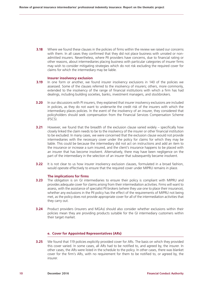**3.18** Where we found these clauses in the policies of firms within the review we raised our concerns with them. In all cases they confirmed that they did not place business with unrated or nonadmitted insurers. Nevertheless, where PII providers have concerns, due to financial rating or other reasons, about intermediaries placing business with particular categories of insurer firms may wish to consider mitigating strategies which do not risk excluding the required cover for claims for which the intermediary may be liable.

#### **Insurer insolvency exclusion**

- **3.19** In one form or another, we found insurer insolvency exclusions in 140 of the policies we assessed. Some of the clauses referred to the insolvency of insurers; others, more commonly, extended to the insolvency of the range of financial institutions with which a firm has had dealings, including building societies, banks, investment managers, and stockbrokers.
- **3.20** In our discussions with PI insurers, they explained that insurer insolvency exclusions are included in policies, as they do not want to underwrite the credit risk of the insurers with which the intermediary places policies. In the event of the insolvency of an insurer, they considered that policyholders should seek compensation from the Financial Services Compensation Scheme (FSCS).
- **3.21** However, we found that the breadth of the exclusion clause varied widely specifically how closely linked the claim needs to be to the insolvency of the insurer or other financial institution to be excluded. In many cases, we were concerned that the exclusion clause would not provide intermediaries with the necessary cover under the policy for claims for which they may be liable. This could be because the intermediary did not act on instructions and add an item to the insurance or increase a sum insured, and the client's insurance happens to be placed with an insurer that has become insolvent. Alternatively, there may have been negligence on the part of the intermediary in the selection of an insurer that subsequently became insolvent.
- **3.22** It is not clear to us how insurer insolvency exclusion clauses, formulated in a broad fashion, would operate effectively to ensure that the required cover under MIPRU remains in place.

### **The implications for firms**

- **3.23** The obligation is on GI intermediaries to ensure their policy is compliant with MIPRU and provides adequate cover for claims arising from their intermediation activities. Firms will want to assess, with the assistance of specialist PII brokers (where they use one to place their insurance), whether any exclusions in the PII policy has the effect of the requirements of MIPRU not being met, as the policy does not provide appropriate cover for all of the intermediation activities that they carry out.
- **3.24** Product providers (insurers and MGAs) should also consider whether exclusions within their policies mean they are providing products suitable for the GI intermediary customers within their target market.

#### **e. Cover for Appointed Representatives (ARs)**

**3.25** We found that 119 policies explicitly provided cover for ARs. The basis on which they provided this cover varied. In some cases, all ARs had to be notified to, and agreed by, the insurer. In other cases, the ARs were listed in the schedule to the policy. In other cases, there was blanket cover for the firm's ARs, with no requirement for them to be notified to, or agreed by, the insurer.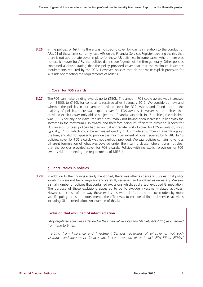**3.26** In the policies of 69 firms there was no specific cover for claims in relation to the conduct of ARs. 21 of these firms currently have ARs on the Financial Services Register, creating the risk that there is not appropriate cover in place for these AR activities. In some cases, where there was not explicit cover for ARs, the policies did include 'agents' of the firm generally. Other policies contained a clause stating that the policy provided cover that met the minimum insurance requirements required by the FCA. However, policies that do not make explicit provision for ARs risk not meeting the requirements of MIPRU.

## **f. Cover for FOS awards**

**3.27** The FOS can make binding awards up to £150k. The amount FOS could award was increased from £100k to £150k for complaints received after 1 January 2012. We considered how and whether the policies in our sample provided cover for FOS awards and found that, in the majority of policies, there was explicit cover for FOS awards. However, some policies that provided explicit cover only did so subject to a financial sub-limit. In 15 policies, the sub-limit was £100k for any one claim, the limit presumably not having been increased in line with the increase in the maximum FOS award, and therefore being insufficient to provide full cover for FOS awards. Sixteen policies had an annual aggregate limit of cover for FOS awards of, most typically, £150k which could be exhausted quickly if FOS made a number of awards against the firm, and did not appear to provide the minimum extent of cover required by MIPRU. In 48 policies, cover for FOS awards was not explicitly provided. We saw policies containing various different formulation of what was covered under the insuring clause, where it was not clear that the policies provided cover for FOS awards. Policies with no explicit provision for FOS awards risk not meeting the requirements of MIPRU.

### **g. Inaccuracies in policies**

**3.28** In addition to the findings already mentioned, there was other evidence to suggest that policy wordings were not being regularly and carefully reviewed and updated as necessary. We saw a small number of policies that contained exclusions which, as drafted, excluded GI mediation. The purpose of these exclusions appeared to be to exclude investment-related activities. However, because of the way these exclusions were drafted, and not overridden by more specific policy terms or endorsements, the effect was to exclude all financial services activities including GI intermediation. An example of this is:

# **Exclusion that excluded GI intermediation**

 *'Any regulated activities as defined in the Financial Services and Markets Act 2000, as amended from time to time…*

*…arising from Insurance and Investment Services regardless of whether or not such Insurance and Investment Services are in contravention of or breach FSA 86 or FSMA.'*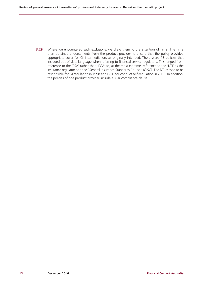**3.29** Where we encountered such exclusions, we drew them to the attention of firms. The firms then obtained endorsements from the product provider to ensure that the policy provided appropriate cover for GI intermediation, as originally intended. There were 48 policies that included out-of-date language when referring to financial service regulators. This ranged from reference to the 'FSA' rather than 'FCA' to, at the most extreme, reference to the 'DTI' as the insurance regulator and the 'General Insurance Standards Council' (GISC). The DTI ceased to be responsible for GI regulation in 1998 and GISC for conduct self-regulation in 2005. In addition, the policies of one product provider include a Y2K compliance clause.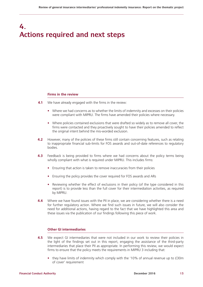# **4. Actions required and next steps**

### **Firms in the review**

- **4.1** We have already engaged with the firms in the review:
	- **•** Where we had concerns as to whether the limits of indemnity and excesses on their policies were compliant with MIPRU. The firms have amended their policies where necessary.
	- **•** Where policies contained exclusions that were drafted so widely as to remove all cover, the firms were contacted and they proactively sought to have their policies amended to reflect the original intent behind the mis-worded exclusion.
- **4.2** However, many of the policies of these firms still contain concerning features, such as relating to inappropriate financial sub-limits for FOS awards and out-of-date references to regulatory bodies.
- **4.3** Feedback is being provided to firms where we had concerns about the policy terms being wholly compliant with what is required under MIPRU. This includes firms:
	- **•** Ensuring that action is taken to remove inaccuracies from their policies
	- **•** Ensuring the policy provides the cover required for FOS awards and ARs
	- **•** Reviewing whether the effect of exclusions in their policy (of the type considered in this report) is to provide less than the full cover for their intermediation activities, as required by MIPRU.
- **4.4** Where we have found issues with the PII in place, we are considering whether there is a need for further regulatory action. Where we find such issues in future, we will also consider the need for additional actions, having regard to the fact that we have highlighted this area and these issues via the publication of our findings following this piece of work.

# **Other GI intermediaries**

- **4.5** We expect GI intermediaries that were not included in our work to review their policies in the light of the findings set out in this report, engaging the assistance of the third-party intermediaries that place their PII as appropriate. In performing this review, we would expect firms to ensure that the policy meets the requirements in MIPRU 3 including that:
	- **•** they have limits of indemnity which comply with the '10% of annual revenue up to £30m of cover' requirement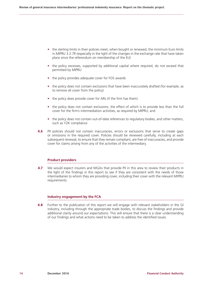- the sterling limits in their policies meet, when bought or renewed, the minimum Euro limits in MIPRU 3.2.7R (especially in the light of the changes in the exchange rate that have taken place since the referendum on membership of the EU)
- the policy excesses, supported by additional capital where required, do not exceed that permitted by MIPRU
- **•** the policy provides adequate cover for FOS awards
- the policy does not contain exclusions that have been inaccurately drafted (for example, as to remove all cover from the policy)
- **•** the policy does provide cover for ARs (if the firm has them)
- the policy does not contain exclusions, the effect of which is to provide less than the full cover for the firm's intermediation activities, as required by MIPRU; and
- the policy does not contain out-of-date references to regulatory bodies, and other matters, such as Y2K compliance
- **4.6** PII policies should not contain inaccuracies, errors or exclusions that serve to create gaps or omissions in the required cover. Policies should be reviewed carefully, including at each subsequent renewal, to ensure that they remain compliant, are free of inaccuracies, and provide cover for claims arising from any of the activities of the intermediary.

### **Product providers**

**4.7** We would expect insurers and MGAs that provide PII in this area to review their products in the light of the findings in this report to see if they are consistent with the needs of those intermediaries to whom they are providing cover, including their cover with the relevant MIPRU requirements.

### **Industry engagement by the FCA**

**4.8** Further to the publication of this report we will engage with relevant stakeholders in the GI industry, including through the appropriate trade bodies, to discuss the findings and provide additional clarity around our expectations. This will ensure that there is a clear understanding of our findings and what actions need to be taken to address the identified issues.